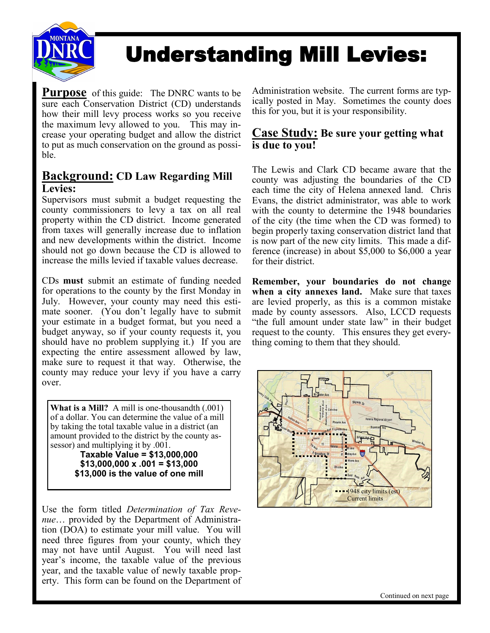

# Understanding Mill Levies:

**Purpose** of this guide: The DNRC wants to be sure each Conservation District (CD) understands how their mill levy process works so you receive the maximum levy allowed to you. This may increase your operating budget and allow the district to put as much conservation on the ground as possible.

### **Background: CD Law Regarding Mill Levies:**

Supervisors must submit a budget requesting the county commissioners to levy a tax on all real property within the CD district. Income generated from taxes will generally increase due to inflation and new developments within the district. Income should not go down because the CD is allowed to increase the mills levied if taxable values decrease.

CDs **must** submit an estimate of funding needed for operations to the county by the first Monday in July. However, your county may need this estimate sooner. (You don't legally have to submit your estimate in a budget format, but you need a budget anyway, so if your county requests it, you should have no problem supplying it.) If you are expecting the entire assessment allowed by law, make sure to request it that way. Otherwise, the county may reduce your levy if you have a carry over.

**What is a Mill?** A mill is one-thousandth (.001) of a dollar. You can determine the value of a mill by taking the total taxable value in a district (an amount provided to the district by the county assessor) and multiplying it by .001.

**Taxable Value = \$13,000,000 \$13,000,000 x .001 = \$13,000 \$13,000 is the value of one mill**

Use the form titled *Determination of Tax Revenue*… provided by the Department of Administration (DOA) to estimate your mill value. You will need three figures from your county, which they may not have until August. You will need last year's income, the taxable value of the previous year, and the taxable value of newly taxable property. This form can be found on the Department of Administration website. The current forms are typically posted in May. Sometimes the county does this for you, but it is your responsibility.

#### **Case Study: Be sure your getting what is due to you!**

The Lewis and Clark CD became aware that the county was adjusting the boundaries of the CD each time the city of Helena annexed land. Chris Evans, the district administrator, was able to work with the county to determine the 1948 boundaries of the city (the time when the CD was formed) to begin properly taxing conservation district land that is now part of the new city limits. This made a difference (increase) in about \$5,000 to \$6,000 a year for their district.

**Remember, your boundaries do not change when a city annexes land.** Make sure that taxes are levied properly, as this is a common mistake made by county assessors. Also, LCCD requests "the full amount under state law" in their budget request to the county. This ensures they get everything coming to them that they should.